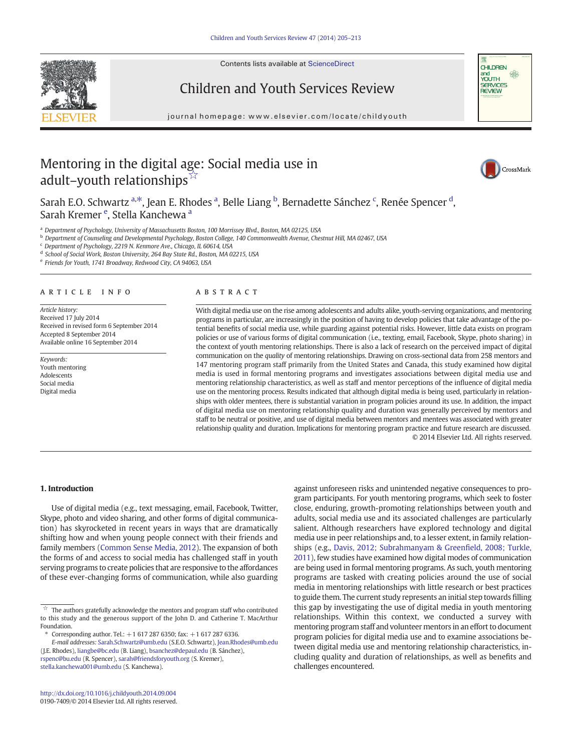Contents lists available at [ScienceDirect](http://www.sciencedirect.com/science/journal/01907409)

Children and Youth Services Review





# journal homepage:<www.elsevier.com/locate/childyouth>

## Mentoring in the digital age: Social media use in adult–youth relationships<sup> $\bar{x}$ </sup>



Sarah E.O. Schwartz <sup>a,\*</sup>, Jean E. Rhodes <sup>a</sup>, Belle Liang <sup>b</sup>, Bernadette Sánchez <sup>c</sup>, Renée Spencer <sup>d</sup>, Sarah Kremer <sup>e</sup>, Stella Kanchewa <sup>a</sup>

a Department of Psychology, University of Massachusetts Boston, 100 Morrissey Blvd., Boston, MA 02125, USA

**b** Department of Counseling and Developmental Psychology, Boston College, 140 Commonwealth Avenue, Chestnut Hill, MA 02467, USA

<sup>c</sup> Department of Psychology, 2219 N. Kenmore Ave., Chicago, IL 60614, USA

<sup>d</sup> School of Social Work, Boston University, 264 Bay State Rd., Boston, MA 02215, USA

<sup>e</sup> Friends for Youth, 1741 Broadway, Redwood City, CA 94063, USA

#### article info abstract

Article history: Received 17 July 2014 Received in revised form 6 September 2014 Accepted 8 September 2014 Available online 16 September 2014

Keywords: Youth mentoring Adolescents Social media Digital media

With digital media use on the rise among adolescents and adults alike, youth-serving organizations, and mentoring programs in particular, are increasingly in the position of having to develop policies that take advantage of the potential benefits of social media use, while guarding against potential risks. However, little data exists on program policies or use of various forms of digital communication (i.e., texting, email, Facebook, Skype, photo sharing) in the context of youth mentoring relationships. There is also a lack of research on the perceived impact of digital communication on the quality of mentoring relationships. Drawing on cross-sectional data from 258 mentors and 147 mentoring program staff primarily from the United States and Canada, this study examined how digital media is used in formal mentoring programs and investigates associations between digital media use and mentoring relationship characteristics, as well as staff and mentor perceptions of the influence of digital media use on the mentoring process. Results indicated that although digital media is being used, particularly in relationships with older mentees, there is substantial variation in program policies around its use. In addition, the impact of digital media use on mentoring relationship quality and duration was generally perceived by mentors and staff to be neutral or positive, and use of digital media between mentors and mentees was associated with greater relationship quality and duration. Implications for mentoring program practice and future research are discussed. © 2014 Elsevier Ltd. All rights reserved.

### 1. Introduction

Use of digital media (e.g., text messaging, email, Facebook, Twitter, Skype, photo and video sharing, and other forms of digital communication) has skyrocketed in recent years in ways that are dramatically shifting how and when young people connect with their friends and family members [\(Common Sense Media, 2012](#page-7-0)). The expansion of both the forms of and access to social media has challenged staff in youth serving programs to create policies that are responsive to the affordances of these ever-changing forms of communication, while also guarding

[rspenc@bu.edu](mailto:rspenc@bu.edu) (R. Spencer), [sarah@friendsforyouth.org](mailto:sarah@friendsforyouth.org) (S. Kremer), [stella.kanchewa001@umb.edu](mailto:stella.kanchewa001@umb.edu) (S. Kanchewa).

against unforeseen risks and unintended negative consequences to program participants. For youth mentoring programs, which seek to foster close, enduring, growth-promoting relationships between youth and adults, social media use and its associated challenges are particularly salient. Although researchers have explored technology and digital media use in peer relationships and, to a lesser extent, in family relationships (e.g., [Davis, 2012; Subrahmanyam & Green](#page-7-0)field, 2008; Turkle, [2011](#page-7-0)), few studies have examined how digital modes of communication are being used in formal mentoring programs. As such, youth mentoring programs are tasked with creating policies around the use of social media in mentoring relationships with little research or best practices to guide them. The current study represents an initial step towards filling this gap by investigating the use of digital media in youth mentoring relationships. Within this context, we conducted a survey with mentoring program staff and volunteer mentors in an effort to document program policies for digital media use and to examine associations between digital media use and mentoring relationship characteristics, including quality and duration of relationships, as well as benefits and challenges encountered.

 $\vec{\mathbb{X}}$  The authors gratefully acknowledge the mentors and program staff who contributed to this study and the generous support of the John D. and Catherine T. MacArthur Foundation.

<sup>⁎</sup> Corresponding author. Tel.: +1 617 287 6350; fax: +1 617 287 6336.

E-mail addresses: [Sarah.Schwartz@umb.edu](mailto:Sarah.Schwartz@umb.edu) (S.E.O. Schwartz), [Jean.Rhodes@umb.edu](mailto:Jean.Rhodes@umb.edu) (J.E. Rhodes), [liangbe@bc.edu](mailto:liangbe@bc.edu) (B. Liang), [bsanchez@depaul.edu](mailto:bsanchez@depaul.edu) (B. Sánchez),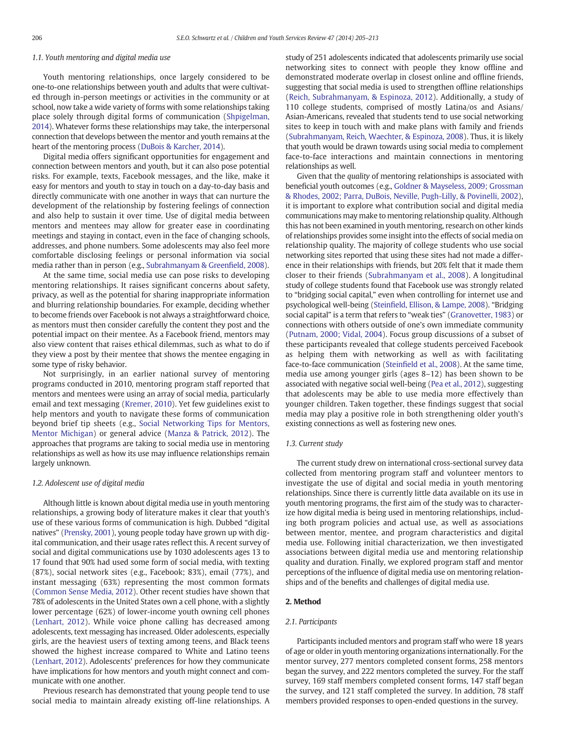### 1.1. Youth mentoring and digital media use

Youth mentoring relationships, once largely considered to be one-to-one relationships between youth and adults that were cultivated through in-person meetings or activities in the community or at school, now take a wide variety of forms with some relationships taking place solely through digital forms of communication [\(Shpigelman,](#page-8-0) [2014\)](#page-8-0). Whatever forms these relationships may take, the interpersonal connection that develops between the mentor and youth remains at the heart of the mentoring process ([DuBois & Karcher, 2014\)](#page-7-0).

Digital media offers significant opportunities for engagement and connection between mentors and youth, but it can also pose potential risks. For example, texts, Facebook messages, and the like, make it easy for mentors and youth to stay in touch on a day-to-day basis and directly communicate with one another in ways that can nurture the development of the relationship by fostering feelings of connection and also help to sustain it over time. Use of digital media between mentors and mentees may allow for greater ease in coordinating meetings and staying in contact, even in the face of changing schools, addresses, and phone numbers. Some adolescents may also feel more comfortable disclosing feelings or personal information via social media rather than in person (e.g., [Subrahmanyam & Green](#page-8-0)field, 2008).

At the same time, social media use can pose risks to developing mentoring relationships. It raises significant concerns about safety, privacy, as well as the potential for sharing inappropriate information and blurring relationship boundaries. For example, deciding whether to become friends over Facebook is not always a straightforward choice, as mentors must then consider carefully the content they post and the potential impact on their mentee. As a Facebook friend, mentors may also view content that raises ethical dilemmas, such as what to do if they view a post by their mentee that shows the mentee engaging in some type of risky behavior.

Not surprisingly, in an earlier national survey of mentoring programs conducted in 2010, mentoring program staff reported that mentors and mentees were using an array of social media, particularly email and text messaging [\(Kremer, 2010](#page-8-0)). Yet few guidelines exist to help mentors and youth to navigate these forms of communication beyond brief tip sheets (e.g., [Social Networking Tips for Mentors,](#page-8-0) [Mentor Michigan](#page-8-0)) or general advice [\(Manza & Patrick, 2012\)](#page-8-0). The approaches that programs are taking to social media use in mentoring relationships as well as how its use may influence relationships remain largely unknown.

#### 1.2. Adolescent use of digital media

Although little is known about digital media use in youth mentoring relationships, a growing body of literature makes it clear that youth's use of these various forms of communication is high. Dubbed "digital natives" ([Prensky, 2001\)](#page-8-0), young people today have grown up with digital communication, and their usage rates reflect this. A recent survey of social and digital communications use by 1030 adolescents ages 13 to 17 found that 90% had used some form of social media, with texting (87%), social network sites (e.g., Facebook; 83%), email (77%), and instant messaging (63%) representing the most common formats [\(Common Sense Media, 2012](#page-7-0)). Other recent studies have shown that 78% of adolescents in the United States own a cell phone, with a slightly lower percentage (62%) of lower-income youth owning cell phones [\(Lenhart, 2012\)](#page-8-0). While voice phone calling has decreased among adolescents, text messaging has increased. Older adolescents, especially girls, are the heaviest users of texting among teens, and Black teens showed the highest increase compared to White and Latino teens [\(Lenhart, 2012](#page-8-0)). Adolescents' preferences for how they communicate have implications for how mentors and youth might connect and communicate with one another.

Previous research has demonstrated that young people tend to use social media to maintain already existing off-line relationships. A study of 251 adolescents indicated that adolescents primarily use social networking sites to connect with people they know offline and demonstrated moderate overlap in closest online and offline friends, suggesting that social media is used to strengthen offline relationships [\(Reich, Subrahmanyam, & Espinoza, 2012](#page-8-0)). Additionally, a study of 110 college students, comprised of mostly Latina/os and Asians/ Asian-Americans, revealed that students tend to use social networking sites to keep in touch with and make plans with family and friends [\(Subrahmanyam, Reich, Waechter, & Espinoza, 2008\)](#page-8-0). Thus, it is likely that youth would be drawn towards using social media to complement face-to-face interactions and maintain connections in mentoring relationships as well.

Given that the quality of mentoring relationships is associated with beneficial youth outcomes (e.g., [Goldner & Mayseless, 2009; Grossman](#page-7-0) [& Rhodes, 2002; Parra, DuBois, Neville, Pugh-Lilly, & Povinelli, 2002](#page-7-0)), it is important to explore what contribution social and digital media communications may make to mentoring relationship quality. Although this has not been examined in youth mentoring, research on other kinds of relationships provides some insight into the effects of social media on relationship quality. The majority of college students who use social networking sites reported that using these sites had not made a difference in their relationships with friends, but 20% felt that it made them closer to their friends [\(Subrahmanyam et al., 2008\)](#page-8-0). A longitudinal study of college students found that Facebook use was strongly related to "bridging social capital," even when controlling for internet use and psychological well-being (Steinfi[eld, Ellison, & Lampe, 2008](#page-8-0)). "Bridging social capital" is a term that refers to "weak ties" [\(Granovetter, 1983](#page-8-0)) or connections with others outside of one's own immediate community [\(Putnam, 2000; Vidal, 2004\)](#page-8-0). Focus group discussions of a subset of these participants revealed that college students perceived Facebook as helping them with networking as well as with facilitating face-to-face communication (Steinfi[eld et al., 2008](#page-8-0)). At the same time, media use among younger girls (ages 8–12) has been shown to be associated with negative social well-being [\(Pea et al., 2012\)](#page-8-0), suggesting that adolescents may be able to use media more effectively than younger children. Taken together, these findings suggest that social media may play a positive role in both strengthening older youth's existing connections as well as fostering new ones.

#### 1.3. Current study

The current study drew on international cross-sectional survey data collected from mentoring program staff and volunteer mentors to investigate the use of digital and social media in youth mentoring relationships. Since there is currently little data available on its use in youth mentoring programs, the first aim of the study was to characterize how digital media is being used in mentoring relationships, including both program policies and actual use, as well as associations between mentor, mentee, and program characteristics and digital media use. Following initial characterization, we then investigated associations between digital media use and mentoring relationship quality and duration. Finally, we explored program staff and mentor perceptions of the influence of digital media use on mentoring relationships and of the benefits and challenges of digital media use.

#### 2. Method

#### 2.1. Participants

Participants included mentors and program staff who were 18 years of age or older in youth mentoring organizations internationally. For the mentor survey, 277 mentors completed consent forms, 258 mentors began the survey, and 222 mentors completed the survey. For the staff survey, 169 staff members completed consent forms, 147 staff began the survey, and 121 staff completed the survey. In addition, 78 staff members provided responses to open-ended questions in the survey.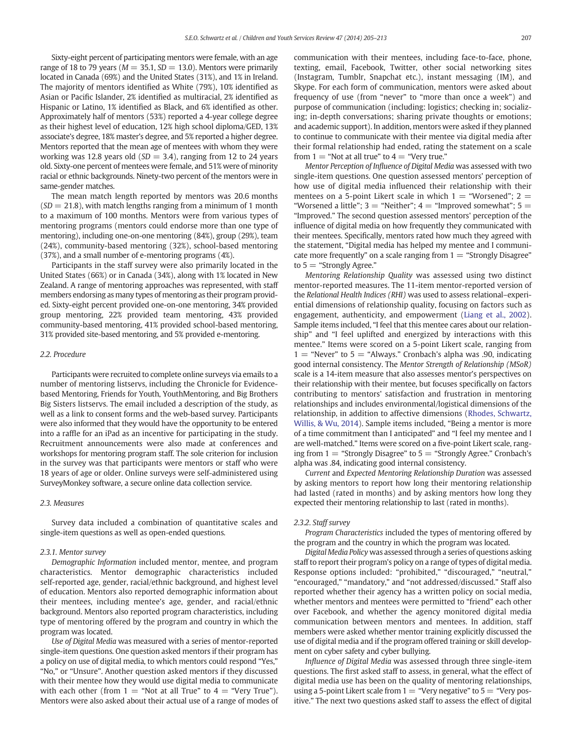Sixty-eight percent of participating mentors were female, with an age range of 18 to 79 years ( $M = 35.1$ ,  $SD = 13.0$ ). Mentors were primarily located in Canada (69%) and the United States (31%), and 1% in Ireland. The majority of mentors identified as White (79%), 10% identified as Asian or Pacific Islander, 2% identified as multiracial, 2% identified as Hispanic or Latino, 1% identified as Black, and 6% identified as other. Approximately half of mentors (53%) reported a 4-year college degree as their highest level of education, 12% high school diploma/GED, 13% associate's degree, 18% master's degree, and 5% reported a higher degree. Mentors reported that the mean age of mentees with whom they were working was 12.8 years old ( $SD = 3.4$ ), ranging from 12 to 24 years old. Sixty-one percent of mentees were female, and 51% were of minority racial or ethnic backgrounds. Ninety-two percent of the mentors were in same-gender matches.

The mean match length reported by mentors was 20.6 months  $(SD = 21.8)$ , with match lengths ranging from a minimum of 1 month to a maximum of 100 months. Mentors were from various types of mentoring programs (mentors could endorse more than one type of mentoring), including one-on-one mentoring (84%), group (29%), team (24%), community-based mentoring (32%), school-based mentoring (37%), and a small number of e-mentoring programs (4%).

Participants in the staff survey were also primarily located in the United States (66%) or in Canada (34%), along with 1% located in New Zealand. A range of mentoring approaches was represented, with staff members endorsing as many types of mentoring as their program provided. Sixty-eight percent provided one-on-one mentoring, 34% provided group mentoring, 22% provided team mentoring, 43% provided community-based mentoring, 41% provided school-based mentoring, 31% provided site-based mentoring, and 5% provided e-mentoring.

#### 2.2. Procedure

Participants were recruited to complete online surveys via emails to a number of mentoring listservs, including the Chronicle for Evidencebased Mentoring, Friends for Youth, YouthMentoring, and Big Brothers Big Sisters listservs. The email included a description of the study, as well as a link to consent forms and the web-based survey. Participants were also informed that they would have the opportunity to be entered into a raffle for an iPad as an incentive for participating in the study. Recruitment announcements were also made at conferences and workshops for mentoring program staff. The sole criterion for inclusion in the survey was that participants were mentors or staff who were 18 years of age or older. Online surveys were self-administered using SurveyMonkey software, a secure online data collection service.

#### 2.3. Measures

Survey data included a combination of quantitative scales and single-item questions as well as open-ended questions.

#### 2.3.1. Mentor survey

Demographic Information included mentor, mentee, and program characteristics. Mentor demographic characteristics included self-reported age, gender, racial/ethnic background, and highest level of education. Mentors also reported demographic information about their mentees, including mentee's age, gender, and racial/ethnic background. Mentors also reported program characteristics, including type of mentoring offered by the program and country in which the program was located.

Use of Digital Media was measured with a series of mentor-reported single-item questions. One question asked mentors if their program has a policy on use of digital media, to which mentors could respond "Yes," "No," or "Unsure". Another question asked mentors if they discussed with their mentee how they would use digital media to communicate with each other (from  $1 =$  "Not at all True" to  $4 =$  "Very True"). Mentors were also asked about their actual use of a range of modes of communication with their mentees, including face-to-face, phone, texting, email, Facebook, Twitter, other social networking sites (Instagram, Tumblr, Snapchat etc.), instant messaging (IM), and Skype. For each form of communication, mentors were asked about frequency of use (from "never" to "more than once a week") and purpose of communication (including: logistics; checking in; socializing; in-depth conversations; sharing private thoughts or emotions; and academic support). In addition, mentors were asked if they planned to continue to communicate with their mentee via digital media after their formal relationship had ended, rating the statement on a scale from  $1 =$  "Not at all true" to  $4 =$  "Very true."

Mentor Perception of Influence of Digital Media was assessed with two single-item questions. One question assessed mentors' perception of how use of digital media influenced their relationship with their mentees on a 5-point Likert scale in which  $1 =$  "Worsened";  $2 =$ "Worsened a little"; 3 = "Neither"; 4 = "Improved somewhat";  $5=$ "Improved." The second question assessed mentors' perception of the influence of digital media on how frequently they communicated with their mentees. Specifically, mentors rated how much they agreed with the statement, "Digital media has helped my mentee and I communicate more frequently" on a scale ranging from  $1 =$  "Strongly Disagree" to  $5 =$  "Strongly Agree."

Mentoring Relationship Quality was assessed using two distinct mentor-reported measures. The 11-item mentor-reported version of the Relational Health Indices (RHI) was used to assess relational–experiential dimensions of relationship quality, focusing on factors such as engagement, authenticity, and empowerment [\(Liang et al., 2002](#page-8-0)). Sample items included, "I feel that this mentee cares about our relationship" and "I feel uplifted and energized by interactions with this mentee." Items were scored on a 5-point Likert scale, ranging from  $1 =$  "Never" to  $5 =$  "Always." Cronbach's alpha was .90, indicating good internal consistency. The Mentor Strength of Relationship (MSoR) scale is a 14-item measure that also assesses mentor's perspectives on their relationship with their mentee, but focuses specifically on factors contributing to mentors' satisfaction and frustration in mentoring relationships and includes environmental/logistical dimensions of the relationship, in addition to affective dimensions [\(Rhodes, Schwartz,](#page-8-0) [Willis, & Wu, 2014\)](#page-8-0). Sample items included, "Being a mentor is more of a time commitment than I anticipated" and "I feel my mentee and I are well-matched." Items were scored on a five-point Likert scale, ranging from  $1 =$  "Strongly Disagree" to  $5 =$  "Strongly Agree." Cronbach's alpha was .84, indicating good internal consistency.

Current and Expected Mentoring Relationship Duration was assessed by asking mentors to report how long their mentoring relationship had lasted (rated in months) and by asking mentors how long they expected their mentoring relationship to last (rated in months).

#### 2.3.2. Staff survey

Program Characteristics included the types of mentoring offered by the program and the country in which the program was located.

Digital Media Policy was assessed through a series of questions asking staff to report their program's policy on a range of types of digital media. Response options included: "prohibited," "discouraged," "neutral," "encouraged," "mandatory," and "not addressed/discussed." Staff also reported whether their agency has a written policy on social media, whether mentors and mentees were permitted to "friend" each other over Facebook, and whether the agency monitored digital media communication between mentors and mentees. In addition, staff members were asked whether mentor training explicitly discussed the use of digital media and if the program offered training or skill development on cyber safety and cyber bullying.

Influence of Digital Media was assessed through three single-item questions. The first asked staff to assess, in general, what the effect of digital media use has been on the quality of mentoring relationships, using a 5-point Likert scale from  $1 =$  "Very negative" to  $5 =$  "Very positive." The next two questions asked staff to assess the effect of digital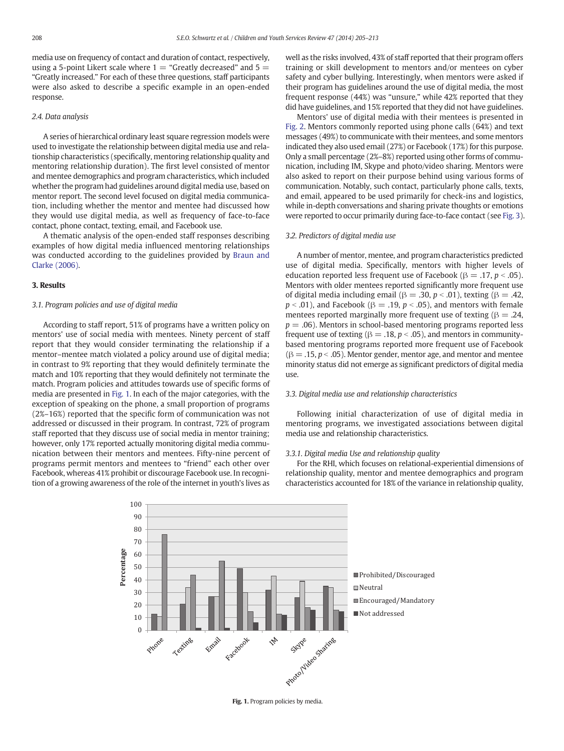media use on frequency of contact and duration of contact, respectively, using a 5-point Likert scale where  $1 =$  "Greatly decreased" and  $5 =$ "Greatly increased." For each of these three questions, staff participants were also asked to describe a specific example in an open-ended response.

#### 2.4. Data analysis

A series of hierarchical ordinary least square regression models were used to investigate the relationship between digital media use and relationship characteristics (specifically, mentoring relationship quality and mentoring relationship duration). The first level consisted of mentor and mentee demographics and program characteristics, which included whether the program had guidelines around digital media use, based on mentor report. The second level focused on digital media communication, including whether the mentor and mentee had discussed how they would use digital media, as well as frequency of face-to-face contact, phone contact, texting, email, and Facebook use.

A thematic analysis of the open-ended staff responses describing examples of how digital media influenced mentoring relationships was conducted according to the guidelines provided by [Braun and](#page-7-0) [Clarke \(2006\).](#page-7-0)

#### 3. Results

#### 3.1. Program policies and use of digital media

According to staff report, 51% of programs have a written policy on mentors' use of social media with mentees. Ninety percent of staff report that they would consider terminating the relationship if a mentor–mentee match violated a policy around use of digital media; in contrast to 9% reporting that they would definitely terminate the match and 10% reporting that they would definitely not terminate the match. Program policies and attitudes towards use of specific forms of media are presented in Fig. 1. In each of the major categories, with the exception of speaking on the phone, a small proportion of programs (2%–16%) reported that the specific form of communication was not addressed or discussed in their program. In contrast, 72% of program staff reported that they discuss use of social media in mentor training; however, only 17% reported actually monitoring digital media communication between their mentors and mentees. Fifty-nine percent of programs permit mentors and mentees to "friend" each other over Facebook, whereas 41% prohibit or discourage Facebook use. In recognition of a growing awareness of the role of the internet in youth's lives as

well as the risks involved, 43% of staff reported that their program offers training or skill development to mentors and/or mentees on cyber safety and cyber bullying. Interestingly, when mentors were asked if their program has guidelines around the use of digital media, the most frequent response (44%) was "unsure," while 42% reported that they did have guidelines, and 15% reported that they did not have guidelines.

Mentors' use of digital media with their mentees is presented in [Fig. 2](#page-4-0). Mentors commonly reported using phone calls (64%) and text messages (49%) to communicate with their mentees, and some mentors indicated they also used email (27%) or Facebook (17%) for this purpose. Only a small percentage (2%–8%) reported using other forms of communication, including IM, Skype and photo/video sharing. Mentors were also asked to report on their purpose behind using various forms of communication. Notably, such contact, particularly phone calls, texts, and email, appeared to be used primarily for check-ins and logistics, while in-depth conversations and sharing private thoughts or emotions were reported to occur primarily during face-to-face contact (see [Fig. 3](#page-4-0)).

#### 3.2. Predictors of digital media use

A number of mentor, mentee, and program characteristics predicted use of digital media. Specifically, mentors with higher levels of education reported less frequent use of Facebook ( $\beta = .17$ ,  $p < .05$ ). Mentors with older mentees reported significantly more frequent use of digital media including email (β = .30, p < .01), texting (β = .42,  $p < .01$ ), and Facebook ( $\beta = .19$ ,  $p < .05$ ), and mentors with female mentees reported marginally more frequent use of texting ( $\beta = .24$ ,  $p = .06$ ). Mentors in school-based mentoring programs reported less frequent use of texting ( $\beta = .18$ ,  $p < .05$ ), and mentors in communitybased mentoring programs reported more frequent use of Facebook  $(\beta = .15, p < .05)$ . Mentor gender, mentor age, and mentor and mentee minority status did not emerge as significant predictors of digital media use.

#### 3.3. Digital media use and relationship characteristics

Following initial characterization of use of digital media in mentoring programs, we investigated associations between digital media use and relationship characteristics.

#### 3.3.1. Digital media Use and relationship quality

For the RHI, which focuses on relational-experiential dimensions of relationship quality, mentor and mentee demographics and program characteristics accounted for 18% of the variance in relationship quality,



Fig. 1. Program policies by media.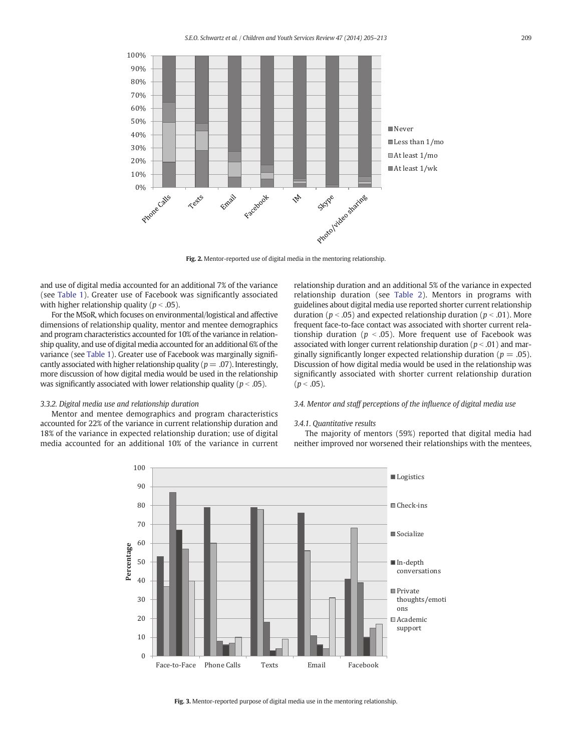<span id="page-4-0"></span>

Fig. 2. Mentor-reported use of digital media in the mentoring relationship.

and use of digital media accounted for an additional 7% of the variance (see [Table 1](#page-5-0)). Greater use of Facebook was significantly associated with higher relationship quality ( $p < .05$ ).

For the MSoR, which focuses on environmental/logistical and affective dimensions of relationship quality, mentor and mentee demographics and program characteristics accounted for 10% of the variance in relationship quality, and use of digital media accounted for an additional 6% of the variance (see [Table 1](#page-5-0)). Greater use of Facebook was marginally significantly associated with higher relationship quality ( $p = .07$ ). Interestingly, more discussion of how digital media would be used in the relationship was significantly associated with lower relationship quality ( $p < .05$ ).

#### 3.3.2. Digital media use and relationship duration

Mentor and mentee demographics and program characteristics accounted for 22% of the variance in current relationship duration and 18% of the variance in expected relationship duration; use of digital media accounted for an additional 10% of the variance in current relationship duration and an additional 5% of the variance in expected relationship duration (see [Table 2](#page-5-0)). Mentors in programs with guidelines about digital media use reported shorter current relationship duration ( $p < .05$ ) and expected relationship duration ( $p < .01$ ). More frequent face-to-face contact was associated with shorter current relationship duration ( $p < .05$ ). More frequent use of Facebook was associated with longer current relationship duration ( $p < .01$ ) and marginally significantly longer expected relationship duration ( $p = .05$ ). Discussion of how digital media would be used in the relationship was significantly associated with shorter current relationship duration  $(p < .05)$ .

### 3.4. Mentor and staff perceptions of the influence of digital media use

#### 3.4.1. Quantitative results

The majority of mentors (59%) reported that digital media had neither improved nor worsened their relationships with the mentees,



Fig. 3. Mentor-reported purpose of digital media use in the mentoring relationship.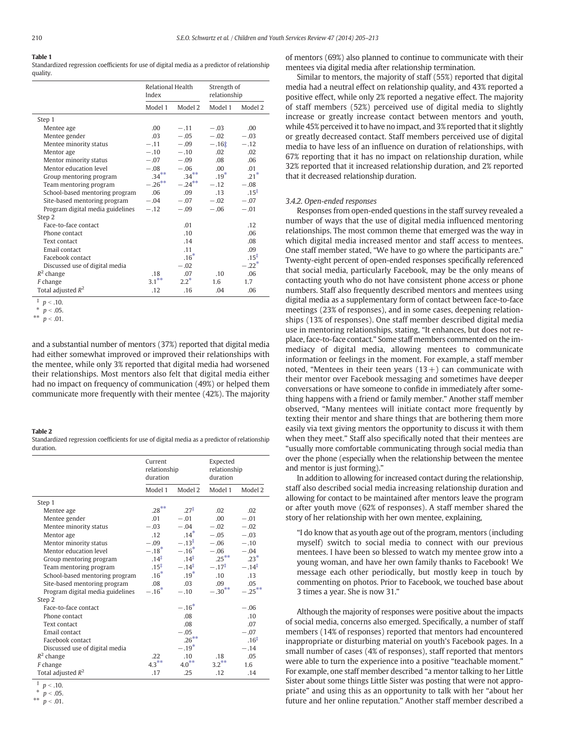## <span id="page-5-0"></span>Table 1

Standardized regression coefficients for use of digital media as a predictor of relationship quality.

|                                  | Relational Health<br>Index |           | Strength of<br>relationship |                     |
|----------------------------------|----------------------------|-----------|-----------------------------|---------------------|
|                                  | Model 1                    | Model 2   | Model 1                     | Model 2             |
| Step 1                           |                            |           |                             |                     |
| Mentee age                       | .00                        | $-.11$    | $-.03$                      | .00                 |
| Mentee gender                    | .03                        | $-.05$    | $-.02$                      | $-.03$              |
| Mentee minority status           | $-.11$                     | $-.09$    | $-.16†$                     | $-.12$              |
| Mentor age                       | $-.10$                     | $-.10$    | .02                         | .02                 |
| Mentor minority status           | $-.07$                     | $-.09$    | .08                         | .06                 |
| Mentor education level           | $-.08$                     | $-.06$    | .00.                        | .01                 |
| Group mentoring program          | $.34***$                   | $.34***$  | $.19*$                      | $.21*$              |
| Team mentoring program           | $-.26***$                  | $-.24***$ | $-.12$                      | $-.08$              |
| School-based mentoring program   | .06                        | .09       | .13                         | $.15^{\ddagger}$    |
| Site-based mentoring program     | $-.04$                     | $-.07$    | $-.02$                      | $-.07$              |
| Program digital media guidelines | $-.12$                     | $-.09$    | $-.06$                      | $-.01$              |
| Step 2                           |                            |           |                             |                     |
| Face-to-face contact             |                            | .01       |                             | .12                 |
| Phone contact                    |                            | .10       |                             | .06                 |
| Text contact                     |                            | .14       |                             | .08                 |
| Email contact                    |                            | .11       |                             | .09                 |
| Facebook contact                 |                            | $.16*$    |                             | $.15^{\ddagger}$    |
| Discussed use of digital media   |                            | $-.02$    |                             | $-.22$ <sup>*</sup> |
| $R^2$ change                     | .18                        | .07       | .10                         | .06                 |
| F change                         | $3.1***$                   | $2.2^*$   | 1.6                         | 1.7                 |
| Total adjusted $R^2$             | .12                        | .16       | .04                         | .06                 |

 $p < .10.$ 

\*\*  $p < .01$ .

and a substantial number of mentors (37%) reported that digital media had either somewhat improved or improved their relationships with the mentee, while only 3% reported that digital media had worsened their relationships. Most mentors also felt that digital media either had no impact on frequency of communication (49%) or helped them communicate more frequently with their mentee (42%). The majority

#### Table 2

Standardized regression coefficients for use of digital media as a predictor of relationship duration.

|                                  | Current<br>relationship<br>duration |                     | Expected<br>relationship<br>duration |                   |
|----------------------------------|-------------------------------------|---------------------|--------------------------------------|-------------------|
|                                  | Model 1                             | Model 2             | Model 1                              | Model 2           |
| Step 1                           |                                     |                     |                                      |                   |
| Mentee age                       | $.28***$                            | $.27^{\ddagger}$    | .02                                  | .02               |
| Mentee gender                    | .01                                 | $-.01$              | .00.                                 | $-.01$            |
| Mentee minority status           | $-.03$                              | $-.04$              | $-.02$                               | $-.02$            |
| Mentor age                       | .12                                 | $14*$               | $-.05$                               | $-.03$            |
| Mentor minority status           | $-.09$                              | $-.13^{\ddagger}$   | $-.06$                               | $-.10$            |
| Mentor education level           | $-.18*$                             | $-.16*$             | $-.06$                               | $-.04$            |
| Group mentoring program          | $.14^{\ddagger}$                    | $.14^{\ddagger}$    | $.25***$                             | $23*$             |
| Team mentoring program           | $.15^{\ddagger}$                    | $-.14$ <sup>‡</sup> | $-.17^{\ddagger}$                    | $-.14^{\ddagger}$ |
| School-based mentoring program   | $.16*$                              | $.19*$              | .10                                  | .13               |
| Site-based mentoring program     | .08                                 | .03 <sub>1</sub>    | .09                                  | .05               |
| Program digital media guidelines | $-.16*$                             | $-.10$              | $-.30**$                             | $-.25***$         |
| Step 2                           |                                     |                     |                                      |                   |
| Face-to-face contact             |                                     | $-.16*$             |                                      | $-.06$            |
| Phone contact                    |                                     | .08                 |                                      | .10               |
| Text contact                     |                                     | .08                 |                                      | .07               |
| Email contact                    |                                     | $-.05$              |                                      | $-.07$            |
| Facebook contact                 |                                     | $.26***$            |                                      | .16 <sup>†</sup>  |
| Discussed use of digital media   |                                     | $-.19*$             |                                      | $-.14$            |
| $R^2$ change                     | 22                                  | .10                 | .18                                  | .05               |
| F change                         | $4.3***$                            | $4.0***$            | $3.2***$                             | 1.6               |
| Total adjusted $R^2$             | .17                                 | .25                 | .12                                  | .14               |

 $p < .10$ .

\*  $p < .05$ . \*\*  $p < .01$ . of mentors (69%) also planned to continue to communicate with their mentees via digital media after relationship termination.

Similar to mentors, the majority of staff (55%) reported that digital media had a neutral effect on relationship quality, and 43% reported a positive effect, while only 2% reported a negative effect. The majority of staff members (52%) perceived use of digital media to slightly increase or greatly increase contact between mentors and youth, while 45% perceived it to have no impact, and 3% reported that it slightly or greatly decreased contact. Staff members perceived use of digital media to have less of an influence on duration of relationships, with 67% reporting that it has no impact on relationship duration, while 32% reported that it increased relationship duration, and 2% reported that it decreased relationship duration.

#### 3.4.2. Open-ended responses

Responses from open-ended questions in the staff survey revealed a number of ways that the use of digital media influenced mentoring relationships. The most common theme that emerged was the way in which digital media increased mentor and staff access to mentees. One staff member stated, "We have to go where the participants are." Twenty-eight percent of open-ended responses specifically referenced that social media, particularly Facebook, may be the only means of contacting youth who do not have consistent phone access or phone numbers. Staff also frequently described mentors and mentees using digital media as a supplementary form of contact between face-to-face meetings (23% of responses), and in some cases, deepening relationships (13% of responses). One staff member described digital media use in mentoring relationships, stating, "It enhances, but does not replace, face-to-face contact." Some staff members commented on the immediacy of digital media, allowing mentees to communicate information or feelings in the moment. For example, a staff member noted, "Mentees in their teen years  $(13+)$  can communicate with their mentor over Facebook messaging and sometimes have deeper conversations or have someone to confide in immediately after something happens with a friend or family member." Another staff member observed, "Many mentees will initiate contact more frequently by texting their mentor and share things that are bothering them more easily via text giving mentors the opportunity to discuss it with them when they meet." Staff also specifically noted that their mentees are "usually more comfortable communicating through social media than over the phone (especially when the relationship between the mentee and mentor is just forming)."

In addition to allowing for increased contact during the relationship, staff also described social media increasing relationship duration and allowing for contact to be maintained after mentors leave the program or after youth move (62% of responses). A staff member shared the story of her relationship with her own mentee, explaining,

"I do know that as youth age out of the program, mentors (including myself) switch to social media to connect with our previous mentees. I have been so blessed to watch my mentee grow into a young woman, and have her own family thanks to Facebook! We message each other periodically, but mostly keep in touch by commenting on photos. Prior to Facebook, we touched base about 3 times a year. She is now 31."

Although the majority of responses were positive about the impacts of social media, concerns also emerged. Specifically, a number of staff members (14% of responses) reported that mentors had encountered inappropriate or disturbing material on youth's Facebook pages. In a small number of cases (4% of responses), staff reported that mentors were able to turn the experience into a positive "teachable moment." For example, one staff member described "a mentor talking to her Little Sister about some things Little Sister was posting that were not appropriate" and using this as an opportunity to talk with her "about her future and her online reputation." Another staff member described a

 $p < .05$ .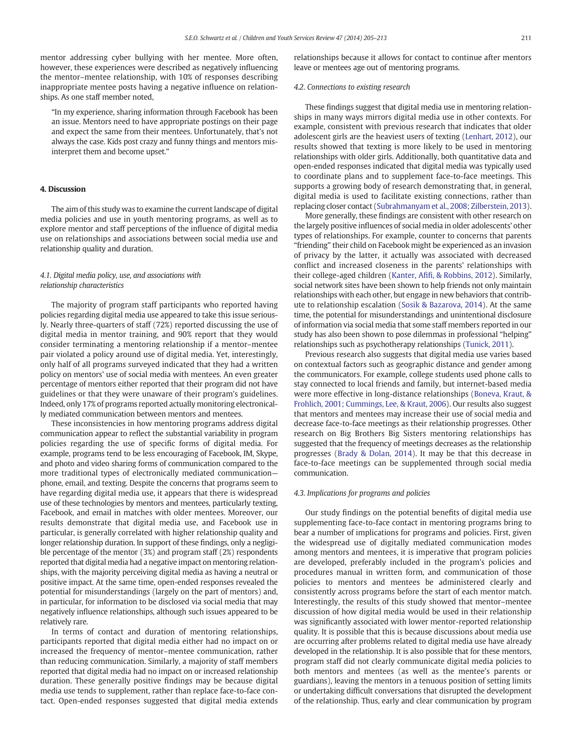mentor addressing cyber bullying with her mentee. More often, however, these experiences were described as negatively influencing the mentor–mentee relationship, with 10% of responses describing inappropriate mentee posts having a negative influence on relationships. As one staff member noted,

"In my experience, sharing information through Facebook has been an issue. Mentors need to have appropriate postings on their page and expect the same from their mentees. Unfortunately, that's not always the case. Kids post crazy and funny things and mentors misinterpret them and become upset."

#### 4. Discussion

The aim of this study was to examine the current landscape of digital media policies and use in youth mentoring programs, as well as to explore mentor and staff perceptions of the influence of digital media use on relationships and associations between social media use and relationship quality and duration.

#### 4.1. Digital media policy, use, and associations with relationship characteristics

The majority of program staff participants who reported having policies regarding digital media use appeared to take this issue seriously. Nearly three-quarters of staff (72%) reported discussing the use of digital media in mentor training, and 90% report that they would consider terminating a mentoring relationship if a mentor–mentee pair violated a policy around use of digital media. Yet, interestingly, only half of all programs surveyed indicated that they had a written policy on mentors' use of social media with mentees. An even greater percentage of mentors either reported that their program did not have guidelines or that they were unaware of their program's guidelines. Indeed, only 17% of programs reported actually monitoring electronically mediated communication between mentors and mentees.

These inconsistencies in how mentoring programs address digital communication appear to reflect the substantial variability in program policies regarding the use of specific forms of digital media. For example, programs tend to be less encouraging of Facebook, IM, Skype, and photo and video sharing forms of communication compared to the more traditional types of electronically mediated communication phone, email, and texting. Despite the concerns that programs seem to have regarding digital media use, it appears that there is widespread use of these technologies by mentors and mentees, particularly texting, Facebook, and email in matches with older mentees. Moreover, our results demonstrate that digital media use, and Facebook use in particular, is generally correlated with higher relationship quality and longer relationship duration. In support of these findings, only a negligible percentage of the mentor (3%) and program staff (2%) respondents reported that digital media had a negative impact on mentoring relationships, with the majority perceiving digital media as having a neutral or positive impact. At the same time, open-ended responses revealed the potential for misunderstandings (largely on the part of mentors) and, in particular, for information to be disclosed via social media that may negatively influence relationships, although such issues appeared to be relatively rare.

In terms of contact and duration of mentoring relationships, participants reported that digital media either had no impact on or increased the frequency of mentor–mentee communication, rather than reducing communication. Similarly, a majority of staff members reported that digital media had no impact on or increased relationship duration. These generally positive findings may be because digital media use tends to supplement, rather than replace face-to-face contact. Open-ended responses suggested that digital media extends relationships because it allows for contact to continue after mentors leave or mentees age out of mentoring programs.

#### 4.2. Connections to existing research

These findings suggest that digital media use in mentoring relationships in many ways mirrors digital media use in other contexts. For example, consistent with previous research that indicates that older adolescent girls are the heaviest users of texting ([Lenhart, 2012\)](#page-8-0), our results showed that texting is more likely to be used in mentoring relationships with older girls. Additionally, both quantitative data and open-ended responses indicated that digital media was typically used to coordinate plans and to supplement face-to-face meetings. This supports a growing body of research demonstrating that, in general, digital media is used to facilitate existing connections, rather than replacing closer contact [\(Subrahmanyam et al., 2008; Zilberstein, 2013](#page-8-0)).

More generally, these findings are consistent with other research on the largely positive influences of social media in older adolescents' other types of relationships. For example, counter to concerns that parents "friending" their child on Facebook might be experienced as an invasion of privacy by the latter, it actually was associated with decreased conflict and increased closeness in the parents' relationships with their college-aged children (Kanter, Afifi[, & Robbins, 2012\)](#page-8-0). Similarly, social network sites have been shown to help friends not only maintain relationships with each other, but engage in new behaviors that contribute to relationship escalation [\(Sosik & Bazarova, 2014\)](#page-8-0). At the same time, the potential for misunderstandings and unintentional disclosure of information via social media that some staff members reported in our study has also been shown to pose dilemmas in professional "helping" relationships such as psychotherapy relationships [\(Tunick, 2011\)](#page-8-0).

Previous research also suggests that digital media use varies based on contextual factors such as geographic distance and gender among the communicators. For example, college students used phone calls to stay connected to local friends and family, but internet-based media were more effective in long-distance relationships ([Boneva, Kraut, &](#page-7-0) [Frohlich, 2001; Cummings, Lee, & Kraut, 2006](#page-7-0)). Our results also suggest that mentors and mentees may increase their use of social media and decrease face-to-face meetings as their relationship progresses. Other research on Big Brothers Big Sisters mentoring relationships has suggested that the frequency of meetings decreases as the relationship progresses ([Brady & Dolan, 2014](#page-7-0)). It may be that this decrease in face-to-face meetings can be supplemented through social media communication.

#### 4.3. Implications for programs and policies

Our study findings on the potential benefits of digital media use supplementing face-to-face contact in mentoring programs bring to bear a number of implications for programs and policies. First, given the widespread use of digitally mediated communication modes among mentors and mentees, it is imperative that program policies are developed, preferably included in the program's policies and procedures manual in written form, and communication of those policies to mentors and mentees be administered clearly and consistently across programs before the start of each mentor match. Interestingly, the results of this study showed that mentor–mentee discussion of how digital media would be used in their relationship was significantly associated with lower mentor-reported relationship quality. It is possible that this is because discussions about media use are occurring after problems related to digital media use have already developed in the relationship. It is also possible that for these mentors, program staff did not clearly communicate digital media policies to both mentors and mentees (as well as the mentee's parents or guardians), leaving the mentors in a tenuous position of setting limits or undertaking difficult conversations that disrupted the development of the relationship. Thus, early and clear communication by program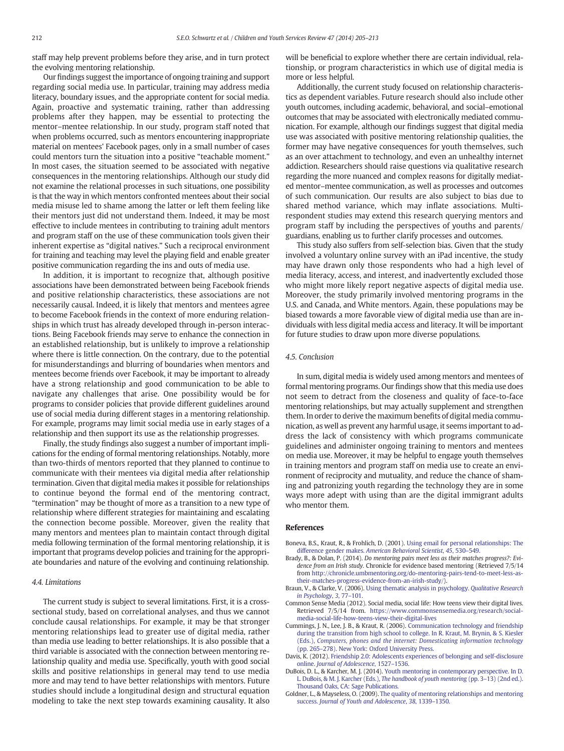<span id="page-7-0"></span>staff may help prevent problems before they arise, and in turn protect the evolving mentoring relationship.

Our findings suggest the importance of ongoing training and support regarding social media use. In particular, training may address media literacy, boundary issues, and the appropriate content for social media. Again, proactive and systematic training, rather than addressing problems after they happen, may be essential to protecting the mentor–mentee relationship. In our study, program staff noted that when problems occurred, such as mentors encountering inappropriate material on mentees' Facebook pages, only in a small number of cases could mentors turn the situation into a positive "teachable moment." In most cases, the situation seemed to be associated with negative consequences in the mentoring relationships. Although our study did not examine the relational processes in such situations, one possibility is that the way in which mentors confronted mentees about their social media misuse led to shame among the latter or left them feeling like their mentors just did not understand them. Indeed, it may be most effective to include mentees in contributing to training adult mentors and program staff on the use of these communication tools given their inherent expertise as "digital natives." Such a reciprocal environment for training and teaching may level the playing field and enable greater positive communication regarding the ins and outs of media use.

In addition, it is important to recognize that, although positive associations have been demonstrated between being Facebook friends and positive relationship characteristics, these associations are not necessarily causal. Indeed, it is likely that mentors and mentees agree to become Facebook friends in the context of more enduring relationships in which trust has already developed through in-person interactions. Being Facebook friends may serve to enhance the connection in an established relationship, but is unlikely to improve a relationship where there is little connection. On the contrary, due to the potential for misunderstandings and blurring of boundaries when mentors and mentees become friends over Facebook, it may be important to already have a strong relationship and good communication to be able to navigate any challenges that arise. One possibility would be for programs to consider policies that provide different guidelines around use of social media during different stages in a mentoring relationship. For example, programs may limit social media use in early stages of a relationship and then support its use as the relationship progresses.

Finally, the study findings also suggest a number of important implications for the ending of formal mentoring relationships. Notably, more than two-thirds of mentors reported that they planned to continue to communicate with their mentees via digital media after relationship termination. Given that digital media makes it possible for relationships to continue beyond the formal end of the mentoring contract, "termination" may be thought of more as a transition to a new type of relationship where different strategies for maintaining and escalating the connection become possible. Moreover, given the reality that many mentors and mentees plan to maintain contact through digital media following termination of the formal mentoring relationship, it is important that programs develop policies and training for the appropriate boundaries and nature of the evolving and continuing relationship.

#### 4.4. Limitations

The current study is subject to several limitations. First, it is a crosssectional study, based on correlational analyses, and thus we cannot conclude causal relationships. For example, it may be that stronger mentoring relationships lead to greater use of digital media, rather than media use leading to better relationships. It is also possible that a third variable is associated with the connection between mentoring relationship quality and media use. Specifically, youth with good social skills and positive relationships in general may tend to use media more and may tend to have better relationships with mentors. Future studies should include a longitudinal design and structural equation modeling to take the next step towards examining causality. It also

will be beneficial to explore whether there are certain individual, relationship, or program characteristics in which use of digital media is more or less helpful.

Additionally, the current study focused on relationship characteristics as dependent variables. Future research should also include other youth outcomes, including academic, behavioral, and social–emotional outcomes that may be associated with electronically mediated communication. For example, although our findings suggest that digital media use was associated with positive mentoring relationship qualities, the former may have negative consequences for youth themselves, such as an over attachment to technology, and even an unhealthy internet addiction. Researchers should raise questions via qualitative research regarding the more nuanced and complex reasons for digitally mediated mentor–mentee communication, as well as processes and outcomes of such communication. Our results are also subject to bias due to shared method variance, which may inflate associations. Multirespondent studies may extend this research querying mentors and program staff by including the perspectives of youths and parents/ guardians, enabling us to further clarify processes and outcomes.

This study also suffers from self-selection bias. Given that the study involved a voluntary online survey with an iPad incentive, the study may have drawn only those respondents who had a high level of media literacy, access, and interest, and inadvertently excluded those who might more likely report negative aspects of digital media use. Moreover, the study primarily involved mentoring programs in the U.S. and Canada, and White mentors. Again, these populations may be biased towards a more favorable view of digital media use than are individuals with less digital media access and literacy. It will be important for future studies to draw upon more diverse populations.

#### 4.5. Conclusion

In sum, digital media is widely used among mentors and mentees of formal mentoring programs. Our findings show that this media use does not seem to detract from the closeness and quality of face-to-face mentoring relationships, but may actually supplement and strengthen them. In order to derive the maximum benefits of digital media communication, as well as prevent any harmful usage, it seems important to address the lack of consistency with which programs communicate guidelines and administer ongoing training to mentors and mentees on media use. Moreover, it may be helpful to engage youth themselves in training mentors and program staff on media use to create an environment of reciprocity and mutuality, and reduce the chance of shaming and patronizing youth regarding the technology they are in some ways more adept with using than are the digital immigrant adults who mentor them.

#### References

- Boneva, B.S., Kraut, R., & Frohlich, D. (2001). [Using email for personal relationships: The](http://refhub.elsevier.com/S0190-7409(14)00328-4/rf0005) difference gender makes. [American Behavioral Scientist](http://refhub.elsevier.com/S0190-7409(14)00328-4/rf0005), 45, 530–549.
- Brady, B., & Dolan, P. (2014). Do mentoring pairs meet less as their matches progress?: Evidence from an Irish study. Chronicle for evidence based mentoring (Retrieved 7/5/14 from [http://chronicle.umbmentoring.org/do-mentoring-pairs-tend-to-meet-less-as](http://chronicle.umbmentoring.org/do-mentoring-pairs-tend-to-meet-less-as-their-matches-progress-evidence-from-an-irish-study/)[their-matches-progress-evidence-from-an-irish-study/](http://chronicle.umbmentoring.org/do-mentoring-pairs-tend-to-meet-less-as-their-matches-progress-evidence-from-an-irish-study/)).
- Braun, V., & Clarke, V. (2006). [Using thematic analysis in psychology.](http://refhub.elsevier.com/S0190-7409(14)00328-4/rf0010) Qualitative Research [in Psychology](http://refhub.elsevier.com/S0190-7409(14)00328-4/rf0010), 3, 77–101.
- Common Sense Media (2012). Social media, social life: How teens view their digital lives. Retrieved 7/5/14 from. [https://www.commonsensemedia.org/research/social](https://www.commonsensemedia.org/research/social-media-social-life-how-teens-view-their-digital-lives)[media-social-life-how-teens-view-their-digital-lives](https://www.commonsensemedia.org/research/social-media-social-life-how-teens-view-their-digital-lives)
- Cummings, J. N., Lee, J. B., & Kraut, R. (2006). [Communication technology and friendship](http://refhub.elsevier.com/S0190-7409(14)00328-4/rf0015) [during the transition from high school to college. In R. Kraut, M. Brynin, & S. Kiesler](http://refhub.elsevier.com/S0190-7409(14)00328-4/rf0015) (Eds.), [Computers, phones and the internet: Domesticating information technology](http://refhub.elsevier.com/S0190-7409(14)00328-4/rf0015) (pp. 265–[278\). New York: Oxford University Press.](http://refhub.elsevier.com/S0190-7409(14)00328-4/rf0015)
- Davis, K. (2012). [Friendship 2.0: Adolescents experiences of belonging and self-disclosure](http://refhub.elsevier.com/S0190-7409(14)00328-4/rf0135) online. [Journal of Adolescence](http://refhub.elsevier.com/S0190-7409(14)00328-4/rf0135), 1527–1536.
- DuBois, D. L., & Karcher, M. J. (2014). [Youth mentoring in contemporary perspective. In D.](http://refhub.elsevier.com/S0190-7409(14)00328-4/rf0020) L. DuBois, & M. J. Karcher (Eds.), [The handbook of youth mentoring](http://refhub.elsevier.com/S0190-7409(14)00328-4/rf0020) (pp. 3–13) (2nd ed.). [Thousand Oaks, CA: Sage Publications.](http://refhub.elsevier.com/S0190-7409(14)00328-4/rf0020)
- Goldner, L., & Mayseless, O. (2009). [The quality of mentoring relationships and mentoring](http://refhub.elsevier.com/S0190-7409(14)00328-4/rf0025) success. [Journal of Youth and Adolescence](http://refhub.elsevier.com/S0190-7409(14)00328-4/rf0025), 38, 1339–1350.